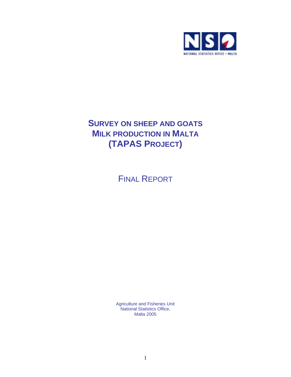

# **SURVEY ON SHEEP AND GOATS MILK PRODUCTION IN MALTA (TAPAS PROJECT)**

FINAL REPORT

Agriculture and Fisheries Unit National Statistics Office, Malta 2005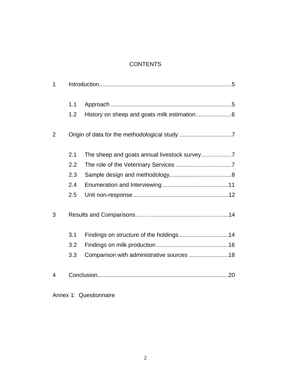# **CONTENTS**

| 1              |     |                                           |
|----------------|-----|-------------------------------------------|
|                | 1.1 |                                           |
|                | 1.2 |                                           |
| $\overline{2}$ |     |                                           |
|                | 2.1 |                                           |
|                | 2.2 |                                           |
|                | 2.3 |                                           |
|                | 2.4 |                                           |
|                | 2.5 |                                           |
| 3              |     |                                           |
|                | 3.1 | Findings on structure of the holdings14   |
|                | 3.2 |                                           |
|                | 3.3 | Comparison with administrative sources 18 |
| 4              |     |                                           |

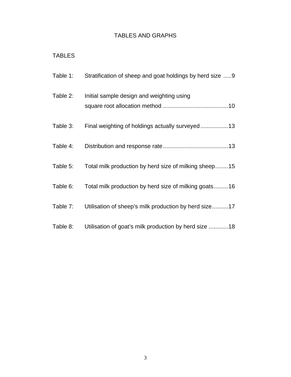# TABLES AND GRAPHS

# TABLES

| Table 1: | Stratification of sheep and goat holdings by herd size 9 |
|----------|----------------------------------------------------------|
| Table 2: | Initial sample design and weighting using                |
| Table 3: | Final weighting of holdings actually surveyed13          |
| Table 4: |                                                          |
| Table 5: | Total milk production by herd size of milking sheep15    |
| Table 6: | Total milk production by herd size of milking goats16    |
| Table 7: | Utilisation of sheep's milk production by herd size17    |
| Table 8: | Utilisation of goat's milk production by herd size 18    |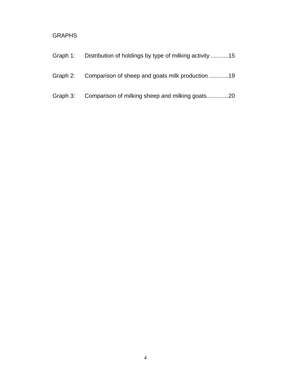# GRAPHS

| Graph 1: | Distribution of holdings by type of milking activity15   |
|----------|----------------------------------------------------------|
|          | Graph 2: Comparison of sheep and goats milk production19 |
|          | Graph 3: Comparison of milking sheep and milking goats20 |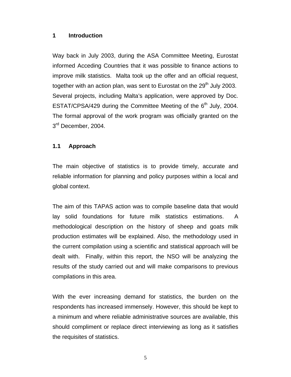## **1 Introduction**

Way back in July 2003, during the ASA Committee Meeting, Eurostat informed Acceding Countries that it was possible to finance actions to improve milk statistics. Malta took up the offer and an official request, together with an action plan, was sent to Eurostat on the 29<sup>th</sup> July 2003. Several projects, including Malta's application, were approved by Doc. ESTAT/CPSA/429 during the Committee Meeting of the 6<sup>th</sup> July, 2004. The formal approval of the work program was officially granted on the 3<sup>rd</sup> December, 2004.

# **1.1 Approach**

The main objective of statistics is to provide timely, accurate and reliable information for planning and policy purposes within a local and global context.

The aim of this TAPAS action was to compile baseline data that would lay solid foundations for future milk statistics estimations. A methodological description on the history of sheep and goats milk production estimates will be explained. Also, the methodology used in the current compilation using a scientific and statistical approach will be dealt with. Finally, within this report, the NSO will be analyzing the results of the study carried out and will make comparisons to previous compilations in this area.

With the ever increasing demand for statistics, the burden on the respondents has increased immensely. However, this should be kept to a minimum and where reliable administrative sources are available, this should compliment or replace direct interviewing as long as it satisfies the requisites of statistics.

5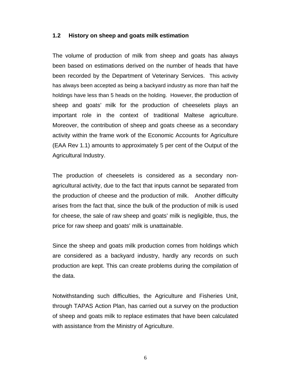#### **1.2 History on sheep and goats milk estimation**

The volume of production of milk from sheep and goats has always been based on estimations derived on the number of heads that have been recorded by the Department of Veterinary Services. This activity has always been accepted as being a backyard industry as more than half the holdings have less than 5 heads on the holding. However, the production of sheep and goats' milk for the production of cheeselets plays an important role in the context of traditional Maltese agriculture. Moreover, the contribution of sheep and goats cheese as a secondary activity within the frame work of the Economic Accounts for Agriculture (EAA Rev 1.1) amounts to approximately 5 per cent of the Output of the Agricultural Industry.

The production of cheeselets is considered as a secondary nonagricultural activity, due to the fact that inputs cannot be separated from the production of cheese and the production of milk. Another difficulty arises from the fact that, since the bulk of the production of milk is used for cheese, the sale of raw sheep and goats' milk is negligible, thus, the price for raw sheep and goats' milk is unattainable.

Since the sheep and goats milk production comes from holdings which are considered as a backyard industry, hardly any records on such production are kept. This can create problems during the compilation of the data.

Notwithstanding such difficulties, the Agriculture and Fisheries Unit, through TAPAS Action Plan, has carried out a survey on the production of sheep and goats milk to replace estimates that have been calculated with assistance from the Ministry of Agriculture.

6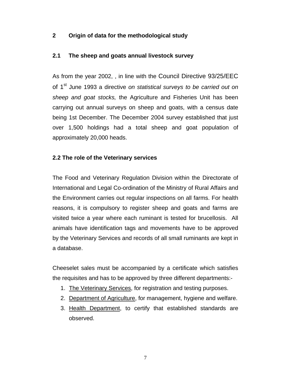# **2 Origin of data for the methodological study**

## **2.1 The sheep and goats annual livestock survey**

As from the year 2002, , in line with the Council Directive 93/25/EEC of 1<sup>st</sup> June 1993 a directive on statistical surveys to be carried out on *sheep and goat stocks,* the Agriculture and Fisheries Unit has been carrying out annual surveys on sheep and goats, with a census date being 1st December. The December 2004 survey established that just over 1,500 holdings had a total sheep and goat population of approximately 20,000 heads.

### **2.2 The role of the Veterinary services**

The Food and Veterinary Regulation Division within the Directorate of International and Legal Co-ordination of the Ministry of Rural Affairs and the Environment carries out regular inspections on all farms. For health reasons, it is compulsory to register sheep and goats and farms are visited twice a year where each ruminant is tested for brucellosis. All animals have identification tags and movements have to be approved by the Veterinary Services and records of all small ruminants are kept in a database.

Cheeselet sales must be accompanied by a certificate which satisfies the requisites and has to be approved by three different departments:-

- 1. The Veterinary Services, for registration and testing purposes.
- 2. Department of Agriculture, for management, hygiene and welfare.
- 3. Health Department, to certify that established standards are observed.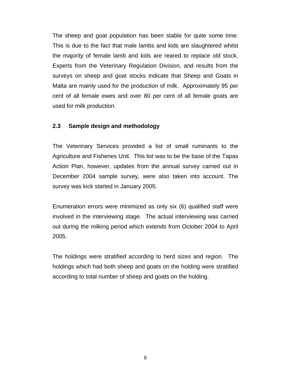The sheep and goat population has been stable for quite some time. This is due to the fact that male lambs and kids are slaughtered whilst the majority of female lamb and kids are reared to replace old stock. Experts from the Veterinary Regulation Division, and results from the surveys on sheep and goat stocks indicate that Sheep and Goats in Malta are mainly used for the production of milk. Approximately 95 per cent of all female ewes and over 80 per cent of all female goats are used for milk production.

#### **2.3 Sample design and methodology**

The Veterinary Services provided a list of small ruminants to the Agriculture and Fisheries Unit. This list was to be the base of the Tapas Action Plan, however, updates from the annual survey carried out in December 2004 sample survey, were also taken into account. The survey was kick started in January 2005.

Enumeration errors were minimized as only six (6) qualified staff were involved in the interviewing stage. The actual interviewing was carried out during the milking period which extends from October 2004 to April 2005.

The holdings were stratified according to herd sizes and region. The holdings which had both sheep and goats on the holding were stratified according to total number of sheep and goats on the holding.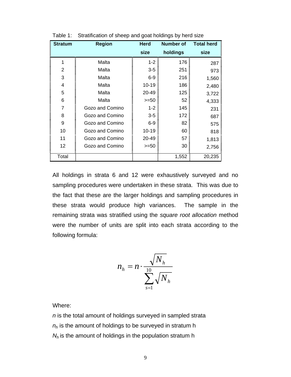| <b>Stratum</b> | <b>Region</b>   | <b>Herd</b> | <b>Number of</b> | <b>Total herd</b> |
|----------------|-----------------|-------------|------------------|-------------------|
|                |                 | size        | holdings         | size              |
| 1              | Malta           | $1 - 2$     | 176              | 287               |
| $\overline{2}$ | Malta           | $3-5$       | 251              | 973               |
| 3              | Malta           | $6-9$       | 216              | 1,560             |
| 4              | Malta           | $10 - 19$   | 186              | 2,480             |
| 5              | Malta           | 20-49       | 125              | 3,722             |
| 6              | Malta           | $>=50$      | 52               | 4,333             |
| 7              | Gozo and Comino | $1 - 2$     | 145              | 231               |
| 8              | Gozo and Comino | $3-5$       | 172              | 687               |
| 9              | Gozo and Comino | $6-9$       | 82               | 575               |
| 10             | Gozo and Comino | $10 - 19$   | 60               | 818               |
| 11             | Gozo and Comino | 20-49       | 57               | 1,813             |
| 12             | Gozo and Comino | $>=50$      | 30               | 2,756             |
| Total          |                 |             | 1,552            | 20,235            |

Table 1: Stratification of sheep and goat holdings by herd size

All holdings in strata 6 and 12 were exhaustively surveyed and no sampling procedures were undertaken in these strata. This was due to the fact that these are the larger holdings and sampling procedures in these strata would produce high variances. The sample in the remaining strata was stratified using the *square root allocation* method were the number of units are split into each strata according to the following formula:

$$
n_h = n \cdot \frac{\sqrt{N_h}}{\sum_{s=1}^{10} \sqrt{N_h}}
$$

Where:

*n* is the total amount of holdings surveyed in sampled strata *nh* is the amount of holdings to be surveyed in stratum h *N<sub>h</sub>* is the amount of holdings in the population stratum h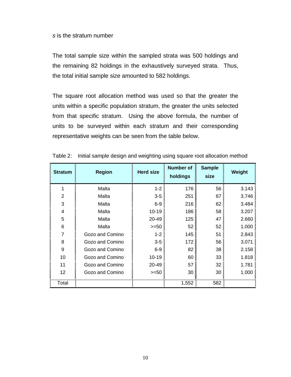#### *s* is the stratum number

The total sample size within the sampled strata was 500 holdings and the remaining 82 holdings in the exhaustively surveyed strata. Thus, the total initial sample size amounted to 582 holdings.

The square root allocation method was used so that the greater the units within a specific population stratum, the greater the units selected from that specific stratum. Using the above formula, the number of units to be surveyed within each stratum and their corresponding representative weights can be seen from the table below.

| <b>Stratum</b> | <b>Region</b>   | <b>Herd size</b> | <b>Number of</b><br>holdings | <b>Sample</b><br>size | Weight |
|----------------|-----------------|------------------|------------------------------|-----------------------|--------|
| 1              | Malta           | $1 - 2$          | 176                          | 56                    | 3.143  |
| $\overline{2}$ | Malta           | $3-5$            | 251                          | 67                    | 3.746  |
| 3              | Malta           | $6-9$            | 216                          | 62                    | 3.484  |
| 4              | Malta           | $10 - 19$        | 186                          | 58                    | 3.207  |
| 5              | Malta           | 20-49            | 125                          | 47                    | 2.660  |
| 6              | Malta           | $>= 50$          | 52                           | 52                    | 1.000  |
| 7              | Gozo and Comino | $1 - 2$          | 145                          | 51                    | 2.843  |
| 8              | Gozo and Comino | $3-5$            | 172                          | 56                    | 3.071  |
| 9              | Gozo and Comino | $6-9$            | 82                           | 38                    | 2.158  |
| 10             | Gozo and Comino | $10 - 19$        | 60                           | 33                    | 1.818  |
| 11             | Gozo and Comino | 20-49            | 57                           | 32                    | 1.781  |
| 12             | Gozo and Comino | $>=50$           | 30                           | 30                    | 1.000  |
| Total          |                 |                  | 1,552                        | 582                   |        |

|  |  |  |  | Table 2: Initial sample design and weighting using square root allocation method |
|--|--|--|--|----------------------------------------------------------------------------------|
|  |  |  |  |                                                                                  |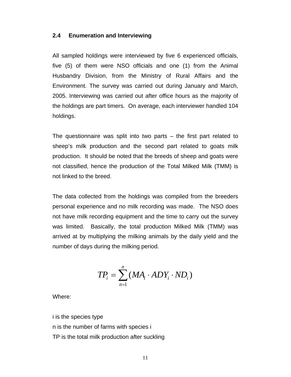#### **2.4 Enumeration and Interviewing**

All sampled holdings were interviewed by five 6 experienced officials, five (5) of them were NSO officials and one (1) from the Animal Husbandry Division, from the Ministry of Rural Affairs and the Environment. The survey was carried out during January and March, 2005. Interviewing was carried out after office hours as the majority of the holdings are part timers. On average, each interviewer handled 104 holdings.

The questionnaire was split into two parts – the first part related to sheep's milk production and the second part related to goats milk production. It should be noted that the breeds of sheep and goats were not classified, hence the production of the Total Milked Milk (TMM) is not linked to the breed.

The data collected from the holdings was compiled from the breeders personal experience and no milk recording was made. The NSO does not have milk recording equipment and the time to carry out the survey was limited. Basically, the total production Milked Milk (TMM) was arrived at by multiplying the milking animals by the daily yield and the number of days during the milking period.

$$
TP_i = \sum_{n=1}^n (MA_i \cdot ADY_i \cdot ND_i)
$$

Where:

i is the species type n is the number of farms with species i TP is the total milk production after suckling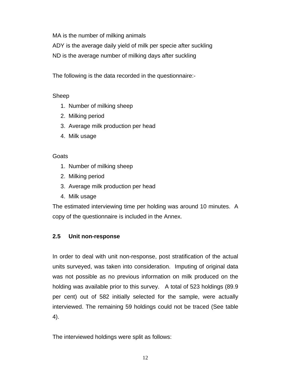MA is the number of milking animals

ADY is the average daily yield of milk per specie after suckling

ND is the average number of milking days after suckling

The following is the data recorded in the questionnaire:-

# Sheep

- 1. Number of milking sheep
- 2. Milking period
- 3. Average milk production per head
- 4. Milk usage

# **Goats**

- 1. Number of milking sheep
- 2. Milking period
- 3. Average milk production per head
- 4. Milk usage

The estimated interviewing time per holding was around 10 minutes. A copy of the questionnaire is included in the Annex.

# **2.5 Unit non-response**

In order to deal with unit non-response, post stratification of the actual units surveyed, was taken into consideration. Imputing of original data was not possible as no previous information on milk produced on the holding was available prior to this survey. A total of 523 holdings (89.9) per cent) out of 582 initially selected for the sample, were actually interviewed. The remaining 59 holdings could not be traced (See table 4).

The interviewed holdings were split as follows: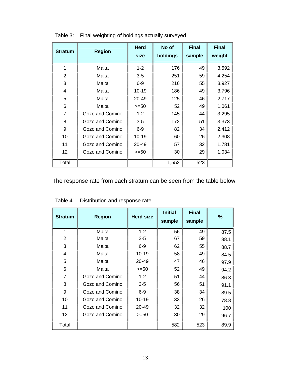| <b>Stratum</b> | <b>Region</b>   | <b>Herd</b><br>size | No of<br>holdings | <b>Final</b><br>sample | <b>Final</b><br>weight |
|----------------|-----------------|---------------------|-------------------|------------------------|------------------------|
| 1              | Malta           | $1 - 2$             | 176               | 49                     | 3.592                  |
| $\overline{2}$ | Malta           | $3 - 5$             | 251               | 59                     | 4.254                  |
| 3              | Malta           | $6-9$               | 216               | 55                     | 3.927                  |
| 4              | Malta           | 10-19               | 186               | 49                     | 3.796                  |
| 5              | Malta           | 20-49               | 125               | 46                     | 2.717                  |
| 6              | Malta           | $>=50$              | 52                | 49                     | 1.061                  |
| 7              | Gozo and Comino | $1 - 2$             | 145               | 44                     | 3.295                  |
| 8              | Gozo and Comino | $3-5$               | 172               | 51                     | 3.373                  |
| 9              | Gozo and Comino | $6-9$               | 82                | 34                     | 2.412                  |
| 10             | Gozo and Comino | 10-19               | 60                | 26                     | 2.308                  |
| 11             | Gozo and Comino | 20-49               | 57                | 32                     | 1.781                  |
| 12             | Gozo and Comino | $>=50$              | 30                | 29                     | 1.034                  |
| Total          |                 |                     | 1,552             | 523                    |                        |

Table 3: Final weighting of holdings actually surveyed

The response rate from each stratum can be seen from the table below.

| <b>Stratum</b> | <b>Region</b>   | <b>Herd size</b> | <b>Initial</b><br>sample | <b>Final</b><br>sample | %    |
|----------------|-----------------|------------------|--------------------------|------------------------|------|
| 1              | Malta           | $1 - 2$          | 56                       | 49                     | 87.5 |
| $\overline{2}$ | Malta           | $3-5$            | 67                       | 59                     | 88.1 |
| 3              | Malta           | $6-9$            | 62                       | 55                     | 88.7 |
| 4              | Malta           | 10-19            | 58                       | 49                     | 84.5 |
| 5              | Malta           | 20-49            | 47                       | 46                     | 97.9 |
| 6              | Malta           | >=50             | 52                       | 49                     | 94.2 |
| 7              | Gozo and Comino | $1 - 2$          | 51                       | 44                     | 86.3 |
| 8              | Gozo and Comino | $3-5$            | 56                       | 51                     | 91.1 |
| 9              | Gozo and Comino | $6-9$            | 38                       | 34                     | 89.5 |
| 10             | Gozo and Comino | $10 - 19$        | 33                       | 26                     | 78.8 |
| 11             | Gozo and Comino | 20-49            | 32                       | 32                     | 100  |
| 12             | Gozo and Comino | $>=50$           | 30                       | 29                     | 96.7 |
| Total          |                 |                  | 582                      | 523                    | 89.9 |

# Table 4 Distribution and response rate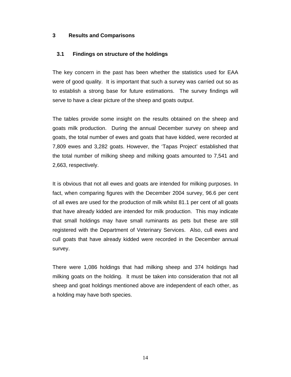#### **3 Results and Comparisons**

#### **3.1 Findings on structure of the holdings**

The key concern in the past has been whether the statistics used for EAA were of good quality. It is important that such a survey was carried out so as to establish a strong base for future estimations. The survey findings will serve to have a clear picture of the sheep and goats output.

The tables provide some insight on the results obtained on the sheep and goats milk production. During the annual December survey on sheep and goats, the total number of ewes and goats that have kidded, were recorded at 7,809 ewes and 3,282 goats. However, the 'Tapas Project' established that the total number of milking sheep and milking goats amounted to 7,541 and 2,663, respectively.

It is obvious that not all ewes and goats are intended for milking purposes. In fact, when comparing figures with the December 2004 survey, 96.6 per cent of all ewes are used for the production of milk whilst 81.1 per cent of all goats that have already kidded are intended for milk production. This may indicate that small holdings may have small ruminants as pets but these are still registered with the Department of Veterinary Services. Also, cull ewes and cull goats that have already kidded were recorded in the December annual survey.

There were 1,086 holdings that had milking sheep and 374 holdings had milking goats on the holding. It must be taken into consideration that not all sheep and goat holdings mentioned above are independent of each other, as a holding may have both species.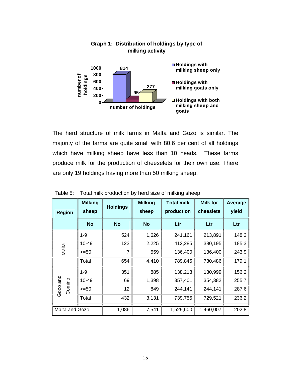

**Graph 1: Distribution of holdings by type of** 

# The herd structure of milk farms in Malta and Gozo is similar. The majority of the farms are quite small with 80.6 per cent of all holdings which have milking sheep have less than 10 heads. These farms produce milk for the production of cheeselets for their own use. There are only 19 holdings having more than 50 milking sheep.

| <b>Region</b>      | <b>Milking</b><br>sheep | <b>Holdings</b> | <b>Milking</b><br>sheep | <b>Total milk</b><br>production | <b>Milk for</b><br>cheeslets | Average<br>yield |
|--------------------|-------------------------|-----------------|-------------------------|---------------------------------|------------------------------|------------------|
|                    | <b>No</b>               | <b>No</b>       | <b>No</b>               | Ltr                             | Ltr                          | Ltr              |
|                    | $1 - 9$                 | 524             | 1,626                   | 241,161                         | 213,891                      | 148.3            |
|                    | 10-49                   | 123             | 2,225                   | 412,285                         | 380,195                      | 185.3            |
| Malta              | $>=50$                  | 7               | 559                     | 136,400                         | 136,400                      | 243.9            |
|                    | Total                   | 654             | 4,410                   | 789,845                         | 730,486                      | 179.1            |
|                    | $1 - 9$                 | 351             | 885                     | 138,213                         | 130,999                      | 156.2            |
|                    | 10-49                   | 69              | 1,398                   | 357,401                         | 354,382                      | 255.7            |
| Gozo and<br>Comino | $>=50$                  | 12              | 849                     | 244,141                         | 244,141                      | 287.6            |
|                    | Total                   | 432             | 3,131                   | 739,755                         | 729,521                      | 236.2            |
| Malta and Gozo     |                         | 1,086           | 7,541                   | 1,529,600                       | 1,460,007                    | 202.8            |

Table 5: Total milk production by herd size of milking sheep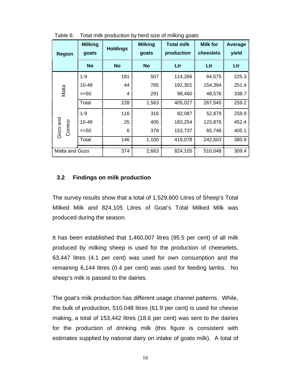| <b>Region</b>      | <b>Milking</b><br>goats | <b>Holdings</b> | <b>Milking</b><br>goats | <b>Total milk</b><br>production | <b>Milk for</b><br>cheeslets | Average<br>yield |
|--------------------|-------------------------|-----------------|-------------------------|---------------------------------|------------------------------|------------------|
|                    | <b>No</b>               | <b>No</b>       | <b>No</b>               | Ltr                             | Ltr                          | Ltr              |
|                    | $1 - 9$                 | 181             | 507                     | 114,266                         | 64,575                       | 225.3            |
|                    | 10-49                   | 44              | 765                     | 192,301                         | 154,394                      | 251.4            |
| Malta              | $>=50$                  | 4               | 291                     | 98,460                          | 48,576                       | 338.7            |
|                    | Total                   | 228             | 1,563                   | 405,027                         | 267,545                      | 259.2            |
|                    | $1 - 9$                 | 116             | 316                     | 82,087                          | 52,879                       | 259.9            |
|                    | 10-49                   | 25              | 405                     | 183,254                         | 123,876                      | 452.4            |
| Gozo and<br>Comino | $>=50$                  | 6               | 379                     | 153,737                         | 65,748                       | 405.1            |
|                    | Total                   | 146             | 1,100                   | 419,078                         | 242,503                      | 380.9            |
| Malta and Gozo     |                         | 374             | 2,663                   | 824,105                         | 510,048                      | 309.4            |

Table 6: Total milk production by herd size of milking goats

# **3.2 Findings on milk production**

The survey results show that a total of 1,529,600 Litres of Sheep's Total Milked Milk and 824,105 Litres of Goat's Total Milked Milk was produced during the season.

It has been established that 1,460,007 litres (95.5 per cent) of all milk produced by milking sheep is used for the production of cheeselets, 63,447 litres (4.1 per cent) was used for own consumption and the remaining 6,144 litres (0.4 per cent) was used for feeding lambs. No sheep's milk is passed to the dairies.

The goat's milk production has different usage channel patterns. While, the bulk of production, 510,048 litres (61.9 per cent) is used for cheese making, a total of 153,442 litres (18.6 per cent) was sent to the dairies for the production of drinking milk (this figure is consistent with estimates supplied by national dairy on intake of goats milk). A total of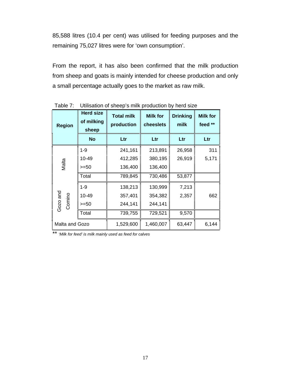85,588 litres (10.4 per cent) was utilised for feeding purposes and the remaining 75,027 litres were for 'own consumption'.

From the report, it has also been confirmed that the milk production from sheep and goats is mainly intended for cheese production and only a small percentage actually goes to the market as raw milk.

| <b>Region</b>      | <b>Herd size</b><br>of milking<br>sheep | <b>Total milk</b><br>production | <b>Milk for</b><br>cheeslets | <b>Drinking</b><br>milk | <b>Milk for</b><br>feed ** |
|--------------------|-----------------------------------------|---------------------------------|------------------------------|-------------------------|----------------------------|
|                    | <b>No</b>                               | Ltr                             | Ltr                          | Ltr                     | Ltr                        |
|                    | $1 - 9$                                 | 241,161                         | 213,891                      | 26,958                  | 311                        |
|                    | 10-49                                   | 412,285                         | 380,195                      | 26,919                  | 5,171                      |
| Malta              | $>=50$                                  | 136,400                         | 136,400                      |                         |                            |
|                    | Total                                   | 789,845                         | 730,486                      | 53,877                  |                            |
|                    | $1 - 9$                                 | 138,213                         | 130,999                      | 7,213                   |                            |
|                    | 10-49                                   | 357,401                         | 354,382                      | 2,357                   | 662                        |
| Gozo and<br>Comino | $>=50$                                  | 244,141                         | 244,141                      |                         |                            |
|                    | Total                                   | 739,755                         | 729,521                      | 9,570                   |                            |
| Malta and Gozo     |                                         | 1,529,600                       | 1,460,007                    | 63,447                  | 6,144                      |

Table 7: Utilisation of sheep's milk production by herd size

\*\* *'Milk for feed' is milk mainly used as feed for calves*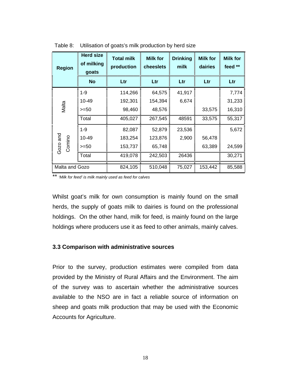| <b>Region</b>      | <b>Herd size</b><br>of milking<br>goats | <b>Total milk</b><br>production | <b>Milk for</b><br>cheeslets | <b>Drinking</b><br>milk | <b>Milk for</b><br>dairies | <b>Milk for</b><br>feed ** |
|--------------------|-----------------------------------------|---------------------------------|------------------------------|-------------------------|----------------------------|----------------------------|
|                    | <b>No</b>                               | Ltr                             | Ltr                          | Ltr                     | Ltr                        | Ltr                        |
|                    | $1 - 9$                                 | 114,266                         | 64,575                       | 41,917                  |                            | 7,774                      |
|                    | 10-49                                   | 192,301                         | 154,394                      | 6,674                   |                            | 31,233                     |
| Malta              | $>=50$                                  | 98,460                          | 48,576                       |                         | 33,575                     | 16,310                     |
|                    | Total                                   | 405,027                         | 267,545                      | 48591                   | 33,575                     | 55,317                     |
|                    | $1 - 9$                                 | 82,087                          | 52,879                       | 23,536                  |                            | 5,672                      |
|                    | 10-49                                   | 183,254                         | 123,876                      | 2,900                   | 56,478                     |                            |
| Gozo and<br>Comino | $>=50$                                  | 153,737                         | 65,748                       |                         | 63,389                     | 24,599                     |
|                    | Total                                   | 419,078                         | 242,503                      | 26436                   |                            | 30,271                     |
| Malta and Gozo     |                                         | 824,105                         | 510,048                      | 75,027                  | 153,442                    | 85,588                     |

Table 8: Utilisation of goats's milk production by herd size

\*\* *'Milk for feed' is milk mainly used as feed for calves* 

Whilst goat's milk for own consumption is mainly found on the small herds, the supply of goats milk to dairies is found on the professional holdings. On the other hand, milk for feed, is mainly found on the large holdings where producers use it as feed to other animals, mainly calves.

#### **3.3 Comparison with administrative sources**

Prior to the survey, production estimates were compiled from data provided by the Ministry of Rural Affairs and the Environment. The aim of the survey was to ascertain whether the administrative sources available to the NSO are in fact a reliable source of information on sheep and goats milk production that may be used with the Economic Accounts for Agriculture.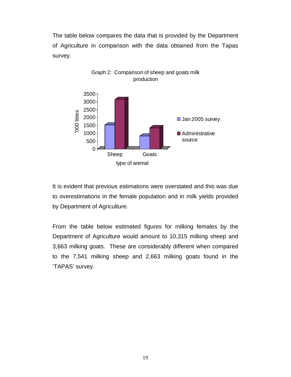The table below compares the data that is provided by the Department of Agriculture in comparison with the data obtained from the Tapas survey.



Graph 2: Comparison of sheep and goats milk production

It is evident that previous estimations were overstated and this was due to overestimations in the female population and in milk yields provided by Department of Agriculture.

From the table below estimated figures for milking females by the Department of Agriculture would amount to 10,315 milking sheep and 3,663 milking goats. These are considerably different when compared to the 7,541 milking sheep and 2,663 milking goats found in the 'TAPAS' survey.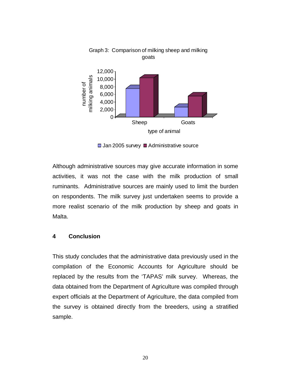

Graph 3: Comparison of milking sheep and milking goats

 $\Box$  Jan 2005 survey  $\Box$  Administrative source

Although administrative sources may give accurate information in some activities, it was not the case with the milk production of small ruminants. Administrative sources are mainly used to limit the burden on respondents. The milk survey just undertaken seems to provide a more realist scenario of the milk production by sheep and goats in Malta.

#### **4 Conclusion**

This study concludes that the administrative data previously used in the compilation of the Economic Accounts for Agriculture should be replaced by the results from the 'TAPAS' milk survey. Whereas, the data obtained from the Department of Agriculture was compiled through expert officials at the Department of Agriculture, the data compiled from the survey is obtained directly from the breeders, using a stratified sample.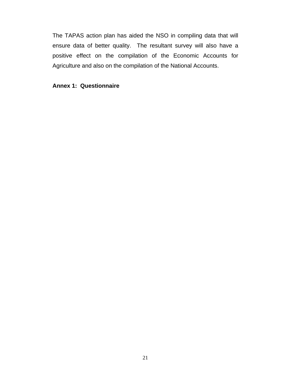The TAPAS action plan has aided the NSO in compiling data that will ensure data of better quality. The resultant survey will also have a positive effect on the compilation of the Economic Accounts for Agriculture and also on the compilation of the National Accounts.

**Annex 1: Questionnaire**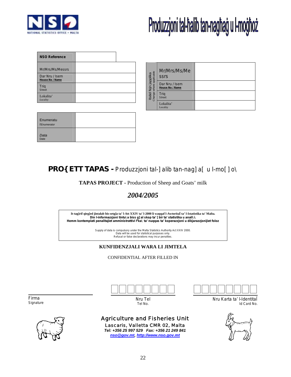

# Produzzjoni tal-halib tan-naghag u l-moghoż

| <b>NSO Reference</b>              |  |
|-----------------------------------|--|
| Mr/Mrs/Ms/Messrs                  |  |
| Dar Nru / Isem<br>House No / Name |  |
| Triq<br><b>Street</b>             |  |
| Lokalita'<br>Locality             |  |

| Enumeratu<br><b>TEnumerator</b> |  |
|---------------------------------|--|
| Data<br>Date                    |  |

| lbdel fejn japplika<br><sub>Change where applicable</sub> | Mr/Mrs/Ms/Me<br><b>SSrS</b>       |  |
|-----------------------------------------------------------|-----------------------------------|--|
|                                                           | Dar Nru / Isem<br>House No / Name |  |
|                                                           | Trig<br><b>Street</b>             |  |
|                                                           | Lokalita'<br>Locality             |  |

# *PRO{ETT TAPAS - Produzzjoni tal-]alib tan-nag]a[ u l-mo[]o\*

**TAPAS PROJECT -** Production of Sheep and Goats' milk

# *2004/2005*

**It-tag]rif qieg]ed jintalab bis-setg]a ta' l-Att XXIV ta' l-2000 li waqqaf l-AwtoritaÏ ta' l-Istatistika ta' Malta. Din l-informazzjoni tintu\a biss g]al skop ta' [bir ta' statistika u anali\i. Hemm kontemplati penalitajiet amministrattivi f'ka\ ta' nuqqas ta' koperazzjoni u dikjarazzjonijiet foloz** 

> Supply of data is compulsory under the Malta Statistics Authority Act XXIV 2000. Data will be used for statistical purposes only. Refusal or false declarations may incur penalties.

#### **KUNFIDENZJALI WARA LI JIMTELA**

CONFIDENTIAL AFTER FILLED IN

 Firma *Signature* 





Nru Tel *Tel No.*

### Agriculture and Fisheries Unit Lascaris, Valletta CMR 02, Malta *Tel: +356 25 997 529 Fax: +356 21 249 841*

*nso@gov.mt, http://www.nso.gov.mt*



Nru Karta ta' l-IdentitaÏ *Id Card No.*